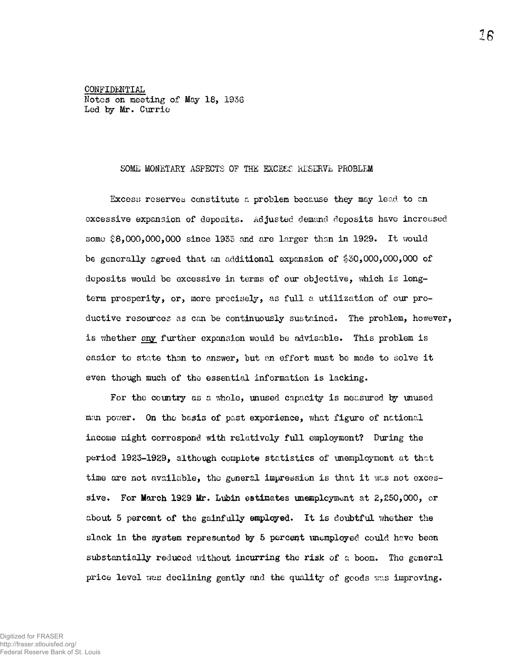CONFIDENTIAL Notes on meeting of May 18, 1936 Led by Mr. Currie

## SOME MONETARY ASPECTS OF THE EXCESS RESERVE PROBLEM

Excess reserves constitute a problem because they may lead to on excessive expansion of deposits. Adjusted demand deposits have increased some  $$8,000,000,000$  since 1933 and are larger than in 1929. It would be generally agreed that an additional expansion of  $$30,000,000,000$  of deposits would be excessive in terms of our objective, which is longterm prosperity, or, more precisely, as full a utilization of our productive resources as can be continuously sustained. The problem, however, is whether any further expansion would be advisable. This problem is easier to state than to answer, but an effort must be made to solve it even though much of the essential information is lacking.

For the country as a whole, unused capacity is measured by unused man power. On the basis of past experience, what figure of national income might correspond with relatively full employment? During the period 1923-1929, although complete statistics of unemployment at that time are not available, the general impression is that it was not excessive. For March 1929 Mr. Lubin estimates unemployment at 2,250,000, or about 5 percent of the gainfully employed. It is doubtful whether the slack in the system represented by 5 percent unemployed could have been substantially reduced without incurring the risk of a boom. The general price level was declining gently and the quality of goods was improving.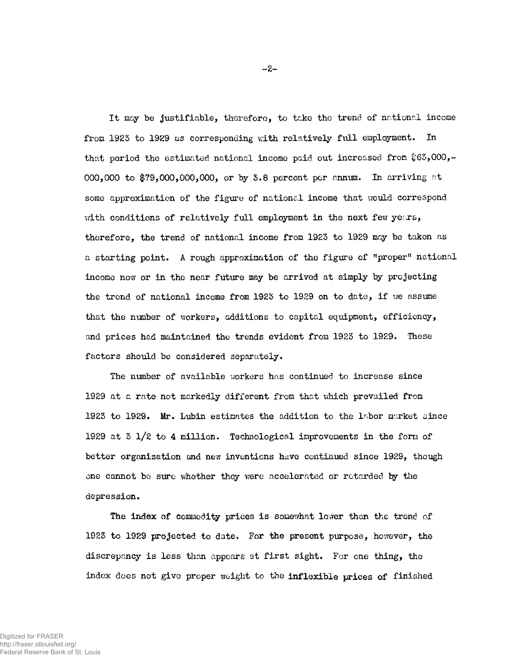It may be justifiable, therefore, to take the trend of national income from 1923 to 1929 as corresponding with relatively full employment. In that period the estimated national income paid out increased from  $$63,000,-$ 000,000 to \$79,000,000,000, or by 3.8 percent per annum. In arriving at some approximation of the figure of national income that would correspond with conditions of relatively full employment in the next few years, therefore, the trend of national income from 1923 to 1929 may be taken as a starting point. A rough approximation of the figure of "proper" national income now or in the near future may be arrived at simply by projecting the trend of national income from 1923 to 1929 on to date, if we assume that the number of workers, additions to capital equipment, efficiency, and prices had maintained the trends evident from 1923 to 1929. These factors should be considered separately.

The number of available workers has continued to increase since 1929 at a rate not markedly different from that which prevailed from 1923 to 1929. Mr. Lubin estimates the addition to the labor market since 1929 at  $3 \frac{1}{2}$  to 4 million. Technological improvements in the form of better organization and new inventions have continued since 1929, though one cannot be sure whether they were accelerated or retarded by the depression.

The index of commodity prices is somewhat lower than the trend of 1923 to 1929 projected to date. For the present purpose, however, the discrepancy is less than appears at first sight. For one thing, the index does not give proper weight to the inflexible prices of finished

 $-2-$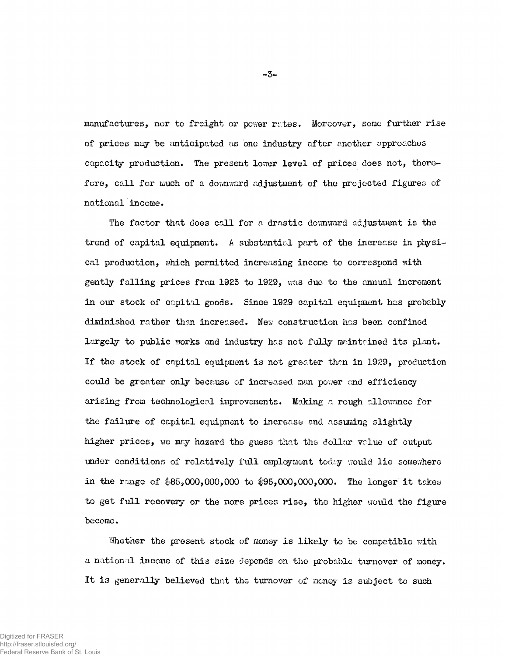manufactures, nor to freight or power rates. Moreover, some further rise of prices may be anticipated as one industry after another approaches capacity production. The present lower level of prices does not, therefore, call for much of a downward adjustment of the projected figures of national income.

The factor that does call for a drastic downward adjustment is the trend of capital equipment. A substantial part of the increase in physical production, which permitted increasing income to correspond with gently falling prices from 1923 to 1929, was due to the annual increment in our stock of capital goods. Since 1929 capital equipment has probably diminished rather than increased. New construction has been confined largely to public works and industry has not fully maintained its plant. If the stock of capital equipment is not greater than in 1929, production could be greater only because of increased man power and efficiency arising from technological improvements. Making a rough allowance for the failure of capital equipment to increase and assuming slightly higher prices, we may hazard the guess that the dollar value of output under conditions of relatively full employment today would lie somewhere in the range of  $$85,000,000,000$  to  $$95,000,000,000$ . The longer it takes to get full recovery or the more prices rise, the higher would the figure become.

Whether the present stock of money is likely to be compatible with a national income of this size depends on the probable turnover of money. It is generally believed that the turnover of money is subject to such

 $-3-$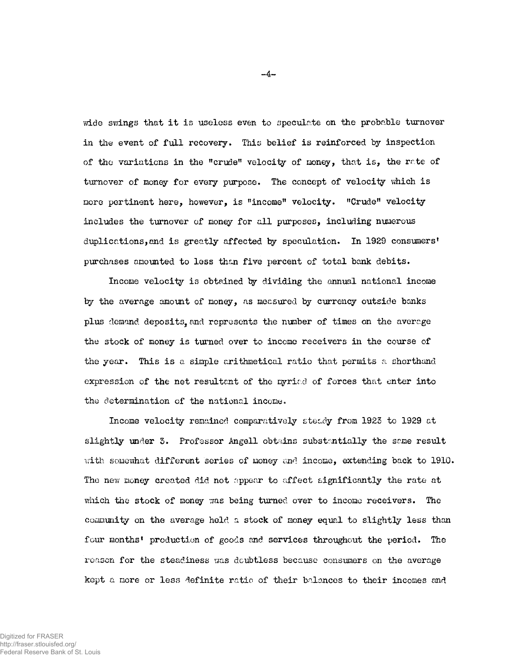wide swings that it is useless even to speculate on the probable turnover in the event of full recovery. This belief is reinforced by inspection of the variations in the "crude" velocity of money, that is, the rate of turnover of money for every purpose. The concept of velocity which is more pertinent here, however, is "income" velocity. "Crude" velocity includes the turnover of money for all purposes, including numerous duplications, and is greatly affected by speculation. In 1929 consumers' purchases amounted to less than five percent of total bank debits.

Income velocity is obtained by dividing the annual national income by the average amount of money, as measured by currency outside banks plus demand deposits, and represents the number of times on the average the stock of money is turned over to income receivers in the course of the year. This is a simple arithmetical ratio that permits a shorthand expression of the net resultant of the myriad of forces that enter into the determination of the national income.

Income velocity remained comparatively steady from 1923 to 1929 at slightly under 3. Professor Angell obtains substantially the same result with somewhat different series of money and income, extending back to 1910. The new money created did not appear to affect significantly the rate at which the stock of money was being turned over to income receivers. The community on the average held a stock of money equal to slightly less than four months' production of goods and services throughout the period. The reason for the steadiness was doubtless because consumers on the average kept a more or less definite ratio of their balances to their incomes and

 $-4-$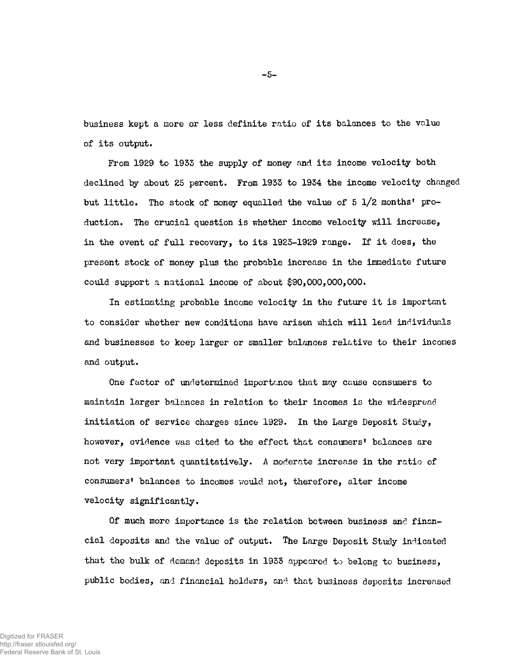business kept a more or less definite ratio of its balances to the value of its output.

From 1929 to 1933 the supply of money and its income velocity both declined by about 25 percent. From 1933 to 1934 the income velocity changed but little. The stock of money equalled the value of  $5 \text{ } 1/2$  months' production. The crucial question is whether income velocity will increase, in the event of full recovery, to its  $1925-1929$  range. If it does, the present stock of money plus the probable increase in the immediate future could support a national income of about  $$90,000,000,000$ .

In estimating probable income velocity in the future it is important to consider whether new conditions have arisen which will lead individuals and businesses to keep larger or smaller balances relative to their incomes and output.

One factor of undetermined importance that may cause consumers to maintain larger balances in relation to their incomes is the widespread initiation of service charges since 1929. In the Large Deposit Study, however, evidence was cited to the effect that consumers' balances are not very important quantitatively. A moderate increase in the ratio of consumers' balances to incomes would not, therefore, alter income velocity significantly.

Of much more importance is the relation between business and financial deposits and the value of output. The Large Deposit Study indicated that the bulk of demand deposits in 1933 appeared to belong to business, public bodies, and financial holders, and that business deposits increased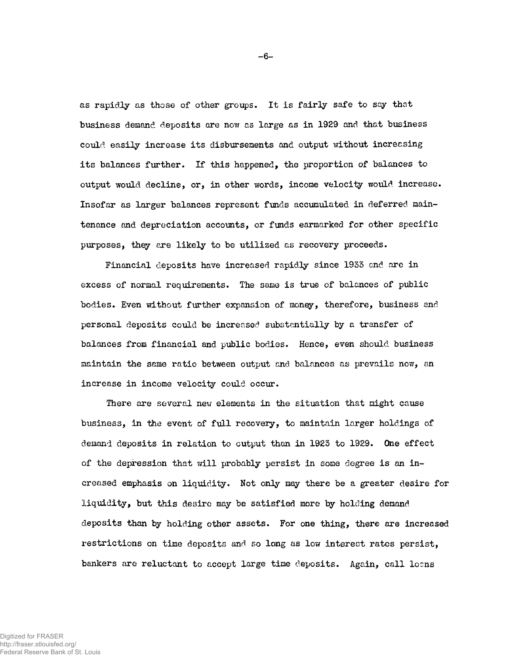as rapidly as those of other groups. It is fairly safe to say that business demand deposits are now as large as in 1929 and that business could easily increase its disbursements and output without increasing its balances further. If this happened, the proportion of balances to output would decline, or, in other words, income velocity would increase. Insofar as larger balances represent funds accumulated in deferred maintenance and depreciation accounts, or funds earmarked for other specific purposes, they are likely to be utilized as recovery proceeds.

Financial deposits have increased rapidly since 1933 and are in excess of normal requirements. The same is true of balances of public bodies. Even without further expansion of money, therefore, business and personal deposits could be increased substantially by a transfer of balances from financial and public bodies. Hence, even should business maintain the same ratio between output and balances as prevails now, an increase in income velocity could occur.

There are several new elements in the situation that might cause business, in the event of full recovery, to maintain larger holdings of demand deposits in relation to output than in 1923 to 1929. One effect of the depression that will probably persist in some degree is an increased emphasis on liquidity. Not only may there be a greater desire for liquidity, but this desire may be satisfied more by holding demand deposits than by holding other assets. For one thing, there are increased restrictions on time deposits and so long as low interest rates persist, bankers are reluctant to accept large time deposits. Again, call loons

 $-6-$